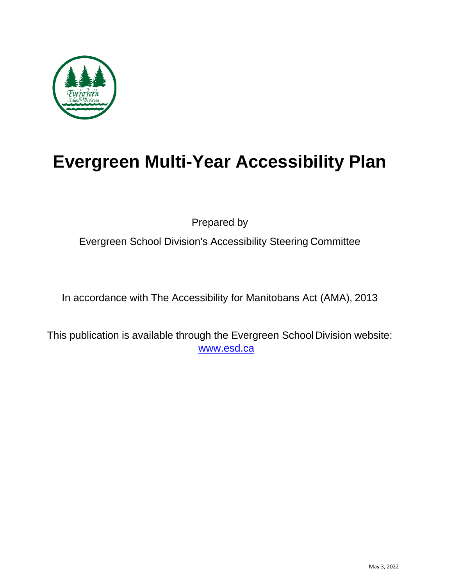

# **Evergreen Multi-Year Accessibility Plan**

Prepared by

Evergreen School Division's Accessibility Steering Committee

In accordance with The Accessibility for Manitobans Act (AMA), 2013

This publication is available through the Evergreen School Division website: [www.esd.ca](http://www.esd.ca/)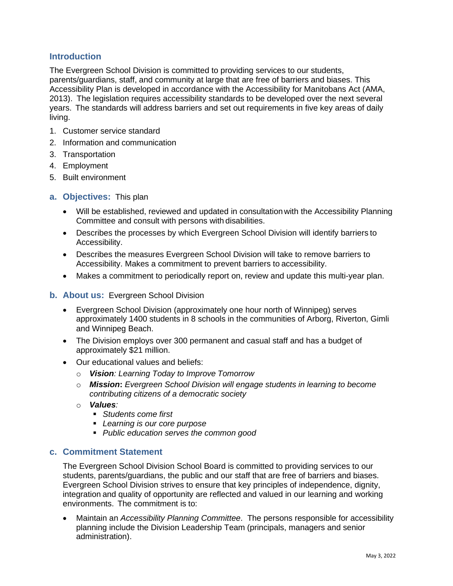# **Introduction**

The Evergreen School Division is committed to providing services to our students, parents/guardians, staff, and community at large that are free of barriers and biases. This Accessibility Plan is developed in accordance with the Accessibility for Manitobans Act (AMA, 2013). The legislation requires accessibility standards to be developed over the next several years. The standards will address barriers and set out requirements in five key areas of daily living.

- 1. Customer service standard
- 2. Information and communication
- 3. Transportation
- 4. Employment
- 5. Built environment
- **a. Objectives:** This plan
	- Will be established, reviewed and updated in consultation with the Accessibility Planning Committee and consult with persons with disabilities.
	- Describes the processes by which Evergreen School Division will identify barriers to Accessibility.
	- Describes the measures Evergreen School Division will take to remove barriers to Accessibility. Makes a commitment to prevent barriers to accessibility.
	- Makes a commitment to periodically report on, review and update this multi-year plan.
- **b. About us:** Evergreen School Division
	- Evergreen School Division (approximately one hour north of Winnipeg) serves approximately 1400 students in 8 schools in the communities of Arborg, Riverton, Gimli and Winnipeg Beach.
	- The Division employs over 300 permanent and casual staff and has a budget of approximately \$21 million.
	- Our educational values and beliefs:
		- o *Vision: Learning Today to Improve Tomorrow*
		- o *Mission***:** *Evergreen School Division will engage students in learning to become contributing citizens of a democratic society*
		- o *Values:* 
			- *Students come first*
			- *Learning is our core purpose*
			- *Public education serves the common good*

# **c. Commitment Statement**

The Evergreen School Division School Board is committed to providing services to our students, parents/guardians, the public and our staff that are free of barriers and biases. Evergreen School Division strives to ensure that key principles of independence, dignity, integration and quality of opportunity are reflected and valued in our learning and working environments. The commitment is to:

• Maintain an *Accessibility Planning Committee*. The persons responsible for accessibility planning include the Division Leadership Team (principals, managers and senior administration).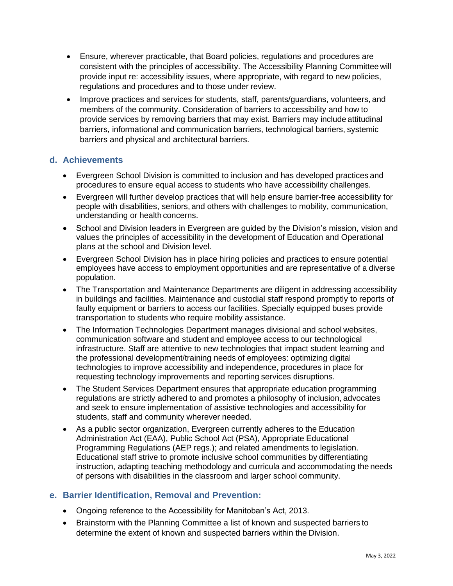- Ensure, wherever practicable, that Board policies, regulations and procedures are consistent with the principles of accessibility. The Accessibility Planning Committee will provide input re: accessibility issues, where appropriate, with regard to new policies, regulations and procedures and to those under review.
- Improve practices and services for students, staff, parents/guardians, volunteers, and members of the community. Consideration of barriers to accessibility and how to provide services by removing barriers that may exist. Barriers may include attitudinal barriers, informational and communication barriers, technological barriers, systemic barriers and physical and architectural barriers.

# **d. Achievements**

- Evergreen School Division is committed to inclusion and has developed practices and procedures to ensure equal access to students who have accessibility challenges.
- Evergreen will further develop practices that will help ensure barrier-free accessibility for people with disabilities, seniors, and others with challenges to mobility, communication, understanding or health concerns.
- School and Division leaders in Evergreen are guided by the Division's mission, vision and values the principles of accessibility in the development of Education and Operational plans at the school and Division level.
- Evergreen School Division has in place hiring policies and practices to ensure potential employees have access to employment opportunities and are representative of a diverse population.
- The Transportation and Maintenance Departments are diligent in addressing accessibility in buildings and facilities. Maintenance and custodial staff respond promptly to reports of faulty equipment or barriers to access our facilities. Specially equipped buses provide transportation to students who require mobility assistance.
- The Information Technologies Department manages divisional and school websites, communication software and student and employee access to our technological infrastructure. Staff are attentive to new technologies that impact student learning and the professional development/training needs of employees: optimizing digital technologies to improve accessibility and independence, procedures in place for requesting technology improvements and reporting services disruptions.
- The Student Services Department ensures that appropriate education programming regulations are strictly adhered to and promotes a philosophy of inclusion, advocates and seek to ensure implementation of assistive technologies and accessibility for students, staff and community wherever needed.
- As a public sector organization, Evergreen currently adheres to the Education Administration Act (EAA), Public School Act (PSA), Appropriate Educational Programming Regulations (AEP regs.); and related amendments to legislation. Educational staff strive to promote inclusive school communities by differentiating instruction, adapting teaching methodology and curricula and accommodating the needs of persons with disabilities in the classroom and larger school community.

# **e. Barrier Identification, Removal and Prevention:**

- Ongoing reference to the Accessibility for Manitoban's Act, 2013.
- Brainstorm with the Planning Committee a list of known and suspected barriers to determine the extent of known and suspected barriers within the Division.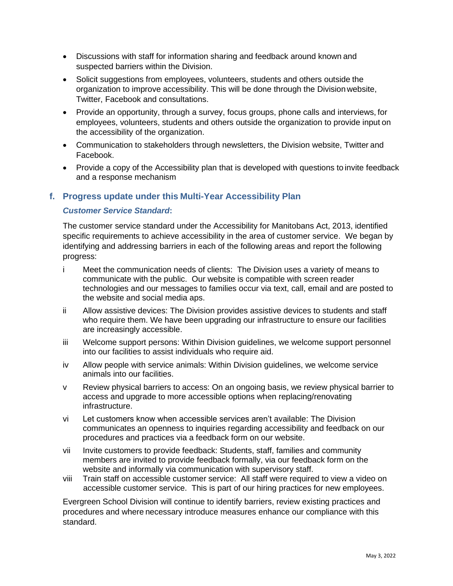- Discussions with staff for information sharing and feedback around known and suspected barriers within the Division.
- Solicit suggestions from employees, volunteers, students and others outside the organization to improve accessibility. This will be done through the Division website, Twitter, Facebook and consultations.
- Provide an opportunity, through a survey, focus groups, phone calls and interviews, for employees, volunteers, students and others outside the organization to provide input on the accessibility of the organization.
- Communication to stakeholders through newsletters, the Division website, Twitter and Facebook.
- Provide a copy of the Accessibility plan that is developed with questions to invite feedback and a response mechanism

#### **f. Progress update under this Multi-Year Accessibility Plan**

#### *Customer Service Standard***:**

The customer service standard under the Accessibility for Manitobans Act, 2013, identified specific requirements to achieve accessibility in the area of customer service. We began by identifying and addressing barriers in each of the following areas and report the following progress:

- i Meet the communication needs of clients: The Division uses a variety of means to communicate with the public. Our website is compatible with screen reader technologies and our messages to families occur via text, call, email and are posted to the website and social media aps.
- ii Allow assistive devices: The Division provides assistive devices to students and staff who require them. We have been upgrading our infrastructure to ensure our facilities are increasingly accessible.
- iii Welcome support persons: Within Division guidelines, we welcome support personnel into our facilities to assist individuals who require aid.
- iv Allow people with service animals: Within Division guidelines, we welcome service animals into our facilities.
- v Review physical barriers to access: On an ongoing basis, we review physical barrier to access and upgrade to more accessible options when replacing/renovating infrastructure.
- vi Let customers know when accessible services aren't available: The Division communicates an openness to inquiries regarding accessibility and feedback on our procedures and practices via a feedback form on our website.
- vii Invite customers to provide feedback: Students, staff, families and community members are invited to provide feedback formally, via our feedback form on the website and informally via communication with supervisory staff.
- viii Train staff on accessible customer service: All staff were required to view a video on accessible customer service. This is part of our hiring practices for new employees.

Evergreen School Division will continue to identify barriers, review existing practices and procedures and where necessary introduce measures enhance our compliance with this standard.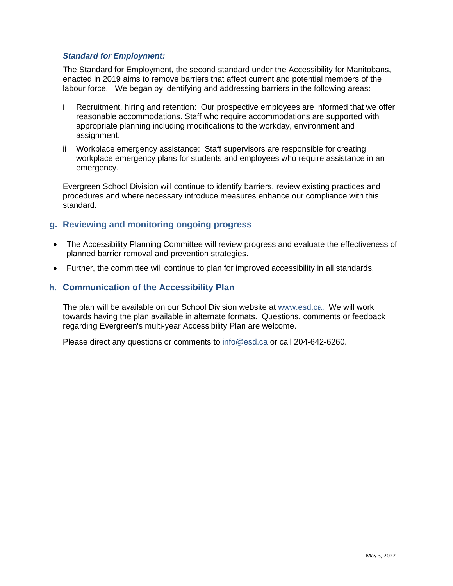#### *Standard for Employment:*

The Standard for Employment, the second standard under the Accessibility for Manitobans, enacted in 2019 aims to remove barriers that affect current and potential members of the labour force. We began by identifying and addressing barriers in the following areas:

- i Recruitment, hiring and retention: Our prospective employees are informed that we offer reasonable accommodations. Staff who require accommodations are supported with appropriate planning including modifications to the workday, environment and assignment.
- ii Workplace emergency assistance: Staff supervisors are responsible for creating workplace emergency plans for students and employees who require assistance in an emergency.

Evergreen School Division will continue to identify barriers, review existing practices and procedures and where necessary introduce measures enhance our compliance with this standard.

# **g. Reviewing and monitoring ongoing progress**

- The Accessibility Planning Committee will review progress and evaluate the effectiveness of planned barrier removal and prevention strategies.
- Further, the committee will continue to plan for improved accessibility in all standards.

#### **h. Communication of the Accessibility Plan**

The plan will be available on our School Division website at [www.esd.ca.](http://www.esd.ca/) We will work towards having the plan available in alternate formats. Questions, comments or feedback regarding Evergreen's multi-year Accessibility Plan are welcome.

Please direct any questions or comments to [info@esd.ca](mailto:info@esd.ca) or call 204-642-6260.